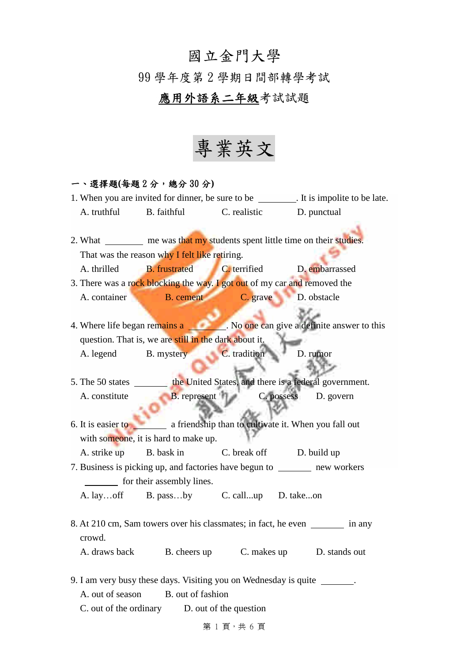## 國立金門大學

99 學年度第 2 學期日間部轉學考試

## 應用外語系二年級考試試題

專業英文

## 一、選擇題**(**每題 2 分,總分 30 分**)**

1. When you are invited for dinner, be sure to be \_\_\_\_\_\_\_\_. It is impolite to be late. A. truthful B. faithful C. realistic D. punctual 2. What me was that my students spent little time on their studies. That was the reason why I felt like retiring. A. thrilled B. frustrated C. terrified D. embarrassed 3. There was a rock blocking the way. I got out of my car and removed the A. container B. cement C. grave D. obstacle 4. Where life began remains a . No one can give a definite answer to this question. That is, we are still in the dark about it. A. legend B. mystery C. tradition D. rumor 5. The 50 states the United States, and there is a federal government. A. constitute B. represent C. possess D. govern 6. It is easier to a friendship than to cultivate it. When you fall out with someone, it is hard to make up. A. strike up B. bask in C. break off D. build up 7. Business is picking up, and factories have begun to new workers for their assembly lines. A. lay…off B. pass…by C. call...up D. take...on 8. At 210 cm, Sam towers over his classmates; in fact, he even in any crowd. A. draws back B. cheers up C. makes up D. stands out 9. I am very busy these days. Visiting you on Wednesday is quite . A. out of season B. out of fashion C. out of the ordinary D. out of the question

第1頁,共6頁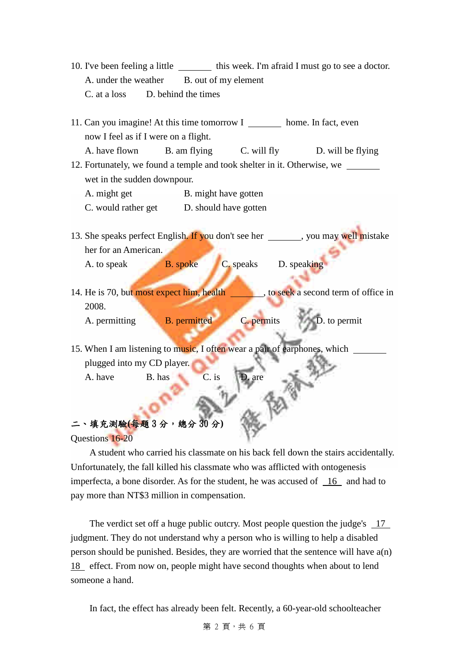- 10. I've been feeling a little \_\_\_\_\_\_\_\_\_\_\_ this week. I'm afraid I must go to see a doctor. A. under the weather B. out of my element C. at a loss D. behind the times
- 11. Can you imagine! At this time tomorrow I home. In fact, even now I feel as if I were on a flight.
- A. have flown B. am flying C. will fly D. will be flying 12. Fortunately, we found a temple and took shelter in it. Otherwise, we
	- wet in the sudden downpour.
	- A. might get B. might have gotten
	- C. would rather get D. should have gotten
- 13. She speaks perfect English. If you don't see her , you may well mistake her for an American.
	- A. to speak B. spoke C. speaks D. speaking
		-
- 14. He is 70, but most expect him, health , to seek a second term of office in 2008.
	- A. permitting B. permitted C. permits D. to permit

15. When I am listening to music, I often wear a pair of earphones, which plugged into my CD player. A. have B. has C. is D. are

# 二、填充測驗**(**每題 3 分,總分 30 分**)**

Questions 16-20

A student who carried his classmate on his back fell down the stairs accidentally. Unfortunately, the fall killed his classmate who was afflicted with ontogenesis imperfecta, a bone disorder. As for the student, he was accused of 16 and had to pay more than NT\$3 million in compensation.

The verdict set off a huge public outcry. Most people question the judge's 17 judgment. They do not understand why a person who is willing to help a disabled person should be punished. Besides, they are worried that the sentence will have a(n) 18 effect. From now on, people might have second thoughts when about to lend someone a hand.

In fact, the effect has already been felt. Recently, a 60-year-old schoolteacher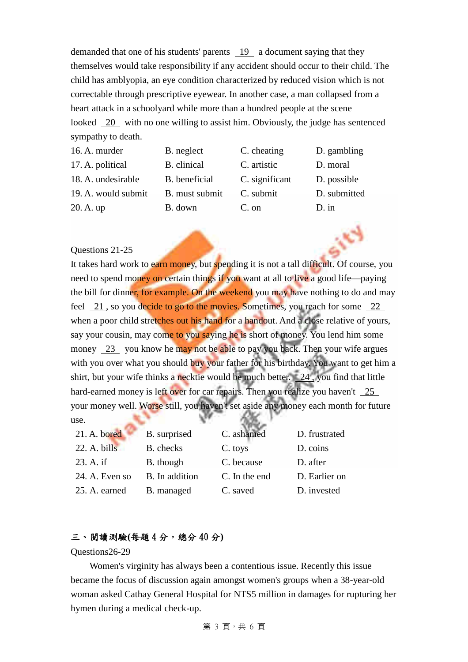demanded that one of his students' parents 19 a document saying that they themselves would take responsibility if any accident should occur to their child. The child has amblyopia, an eye condition characterized by reduced vision which is not correctable through prescriptive eyewear. In another case, a man collapsed from a heart attack in a schoolyard while more than a hundred people at the scene looked 20 with no one willing to assist him. Obviously, the judge has sentenced sympathy to death.

| 16. A. murder       | B. neglect     | C. cheating    | D. gambling  |
|---------------------|----------------|----------------|--------------|
| 17. A. political    | B. clinical    | C. artistic    | D. moral     |
| 18. A. undesirable  | B. beneficial  | C. significant | D. possible  |
| 19. A. would submit | B. must submit | C. submit      | D. submitted |
| 20. A. up           | B. down        | C. on          | $D$ . in     |

#### Questions 21-25

It takes hard work to earn money, but spending it is not a tall difficult. Of course, you need to spend money on certain things if you want at all to live a good life—paying the bill for dinner, for example. On the weekend you may have nothing to do and may feel 21 , so you decide to go to the movies. Sometimes, you reach for some 22 when a poor child stretches out his hand for a handout. And a close relative of yours, say your cousin, may come to you saying he is short of money. You lend him some money 23 you know he may not be able to pay you back. Then your wife argues with you over what you should buy your father for his birthday. You want to get him a shirt, but your wife thinks a necktie would be much better. 24 , you find that little hard-earned money is left over for car repairs. Then you realize you haven't 25 your money well. Worse still, you haven't set aside any money each month for future use.

| $21.$ A. bored | B. surprised   | C. ashamed    | D. frustrated |
|----------------|----------------|---------------|---------------|
| 22. A. bills   | B. checks      | C. toys       | D. coins      |
| 23. A. if      | B. though      | C. because    | D. after      |
| 24. A. Even so | B. In addition | C. In the end | D. Earlier on |
| 25. A. earned  | B. managed     | C. saved      | D. invested   |

## 三、閱讀測驗**(**每題 4 分,總分 40 分**)**

#### Questions26-29

Women's virginity has always been a contentious issue. Recently this issue became the focus of discussion again amongst women's groups when a 38-year-old woman asked Cathay General Hospital for NTS5 million in damages for rupturing her hymen during a medical check-up.

第 3 頁,共 6 頁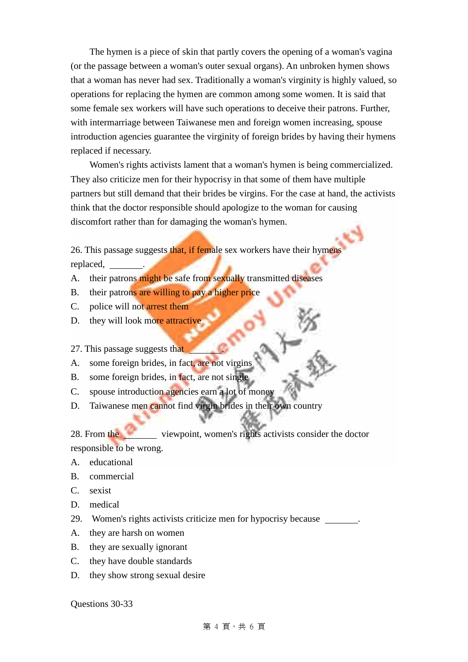The hymen is a piece of skin that partly covers the opening of a woman's vagina (or the passage between a woman's outer sexual organs). An unbroken hymen shows that a woman has never had sex. Traditionally a woman's virginity is highly valued, so operations for replacing the hymen are common among some women. It is said that some female sex workers will have such operations to deceive their patrons. Further, with intermarriage between Taiwanese men and foreign women increasing, spouse introduction agencies guarantee the virginity of foreign brides by having their hymens replaced if necessary.

Women's rights activists lament that a woman's hymen is being commercialized. They also criticize men for their hypocrisy in that some of them have multiple partners but still demand that their brides be virgins. For the case at hand, the activists think that the doctor responsible should apologize to the woman for causing discomfort rather than for damaging the woman's hymen.

26. This passage suggests that, if female sex workers have their hymens replaced, .

- A. their patrons might be safe from sexually transmitted diseases
- B. their patrons are willing to pay a higher price
- C. police will not arrest them
- D. they will look more attractive

### 27. This passage suggests that

- A. some foreign brides, in fact, are not virgins
- B. some foreign brides, in fact, are not single
- C. spouse introduction agencies earn a lot of money
- D. Taiwanese men cannot find virgin brides in their own country

28. From the viewpoint, women's rights activists consider the doctor responsible to be wrong.

- A. educational
- B. commercial
- C. sexist
- D. medical
- 29. Women's rights activists criticize men for hypocrisy because .
- A. they are harsh on women
- B. they are sexually ignorant
- C. they have double standards
- D. they show strong sexual desire

Questions 30-33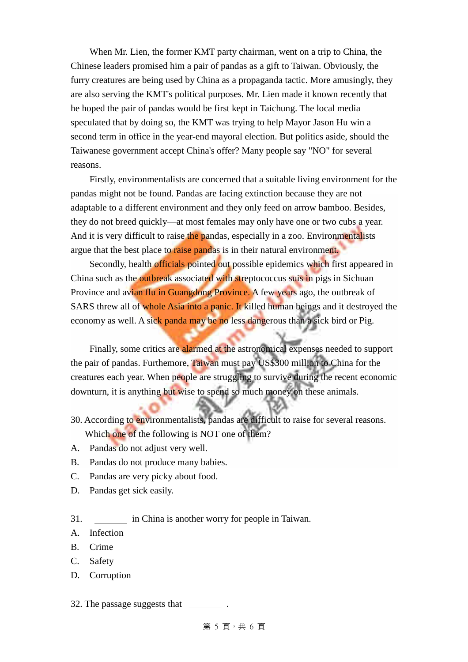When Mr. Lien, the former KMT party chairman, went on a trip to China, the Chinese leaders promised him a pair of pandas as a gift to Taiwan. Obviously, the furry creatures are being used by China as a propaganda tactic. More amusingly, they are also serving the KMT's political purposes. Mr. Lien made it known recently that he hoped the pair of pandas would be first kept in Taichung. The local media speculated that by doing so, the KMT was trying to help Mayor Jason Hu win a second term in office in the year-end mayoral election. But politics aside, should the Taiwanese government accept China's offer? Many people say "NO" for several reasons.

Firstly, environmentalists are concerned that a suitable living environment for the pandas might not be found. Pandas are facing extinction because they are not adaptable to a different environment and they only feed on arrow bamboo. Besides, they do not breed quickly—at most females may only have one or two cubs a year. And it is very difficult to raise the pandas, especially in a zoo. Environmentalists argue that the best place to raise pandas is in their natural environment.

Secondly, health officials pointed out possible epidemics which first appeared in China such as the outbreak associated with streptococcus suis in pigs in Sichuan Province and avian flu in Guangdong Province. A few years ago, the outbreak of SARS threw all of whole Asia into a panic. It killed human beings and it destroyed the economy as well. A sick panda may be no less dangerous than a sick bird or Pig.

Finally, some critics are alarmed at the astronomical expenses needed to support the pair of pandas. Furthemore, Taiwan must pay US\$300 million to China for the creatures each year. When people are struggling to survive during the recent economic downturn, it is anything but wise to spend so much money on these animals.

- 30. According to environmentalists, pandas are difficult to raise for several reasons. Which one of the following is NOT one of them?
- A. Pandas do not adjust very well.
- B. Pandas do not produce many babies.
- C. Pandas are very picky about food.
- D. Pandas get sick easily.
- 31. in China is another worry for people in Taiwan.
- A. Infection
- B. Crime
- C. Safety
- D. Corruption
- 32. The passage suggests that